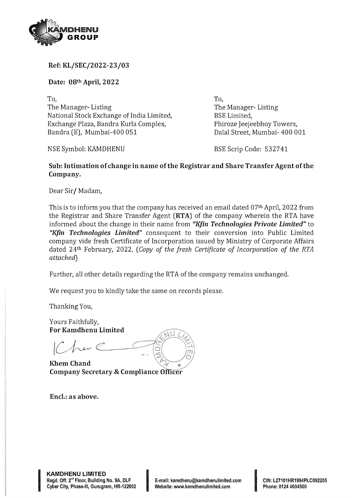

Ref: KL/SEC/2022-23/03

Date: 08th April, 2022

To, To, The Manager- Listing The Manager- Listing National Stock Exchange of India Limited, BSE Limited, Exchange Plaza, Bandra Kurla Complex, Phiroze Jeejeebhoy Towers, Bandra (E), Mumbai-400 051 Dalal Street, Mumbai-400 001

NSE Symbol: KAMDHENU BSE Scrip Code: 532741

## Sub: Intimation of change in name of the Registrar and Share Transfer Agent of the Company.

Dear Sir/ Madam,

This is to inform you that the company has received an email dated 07<sup>th</sup> April, 2022 from the Registrar and Share Transfer Agent (RTA) of the company wherein the RTA have informed about the change in their name from "Kfin Technologies Private Limited" to "Kfin Technologies Limited" consequent to their conversion into Public Limited company vide fresh Certificate of Incorporation issued by Ministry of Corporate Affairs dated 24th February, 2022. (Copy of the fresh Certificate of Incorporation of the RTA attached)

Further, all other details regarding the RTA of the company remains unchanged.

We request you to kindly take the same on records please.

Thanking You,

Yours Faithfully, For Kamdhenu Limited

 $\sim$  $-$ .  $\left| \frac{1}{2} \right|$   $\left| \frac{1}{2} \right|$ 

Khem Chand Company Secretary & Compliance Officer

Encl.: as above.

Bellow and the company of the company of the company of the company of the company of the company of the company